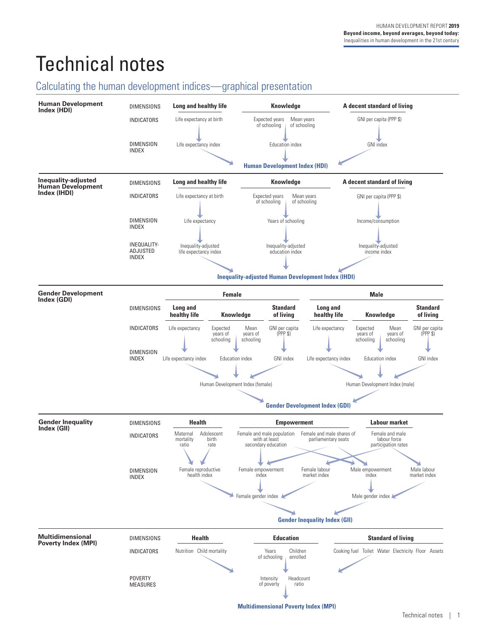# Technical notes

# Calculating the human development indices—graphical presentation

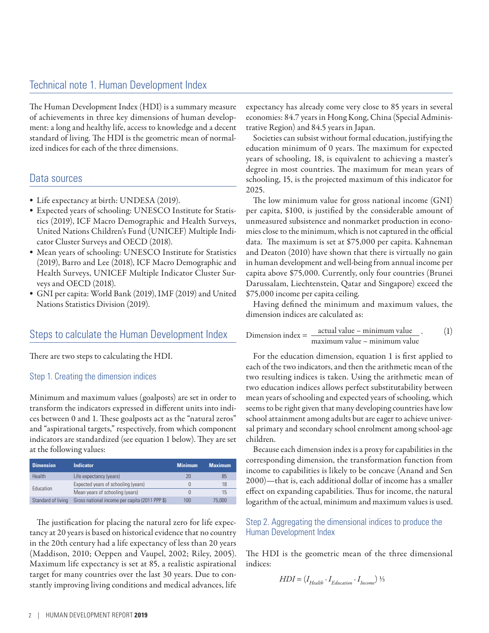The Human Development Index (HDI) is a summary measure of achievements in three key dimensions of human development: a long and healthy life, access to knowledge and a decent standard of living. The HDI is the geometric mean of normalized indices for each of the three dimensions.

### Data sources

- Life expectancy at birth: UNDESA (2019).
- Expected years of schooling: UNESCO Institute for Statistics (2019), ICF Macro Demographic and Health Surveys, United Nations Children's Fund (UNICEF) Multiple Indicator Cluster Surveys and OECD (2018).
- Mean years of schooling: UNESCO Institute for Statistics (2019), Barro and Lee (2018), ICF Macro Demographic and Health Surveys, UNICEF Multiple Indicator Cluster Surveys and OECD (2018).
- GNI per capita: World Bank (2019), IMF (2019) and United Nations Statistics Division (2019).

### Steps to calculate the Human Development Index

There are two steps to calculating the HDI.

#### Step 1. Creating the dimension indices

Minimum and maximum values (goalposts) are set in order to transform the indicators expressed in different units into indices between 0 and 1. These goalposts act as the "natural zeros" and "aspirational targets," respectively, from which component indicators are standardized (see equation 1 below). They are set at the following values:

| <b>Dimension</b>   | <b>Indicator</b>                               | <b>Minimum</b>   | <b>Maximum</b> |
|--------------------|------------------------------------------------|------------------|----------------|
| Health             | Life expectancy (years)                        | 20               | 85             |
|                    | Expected years of schooling (years)            |                  | 18             |
| Education          | Mean years of schooling (years)                | $\left( \right)$ | 15             |
| Standard of living | Gross national income per capita (2011 PPP \$) | 100              | 75,000         |

The justification for placing the natural zero for life expectancy at 20 years is based on historical evidence that no country in the 20th century had a life expectancy of less than 20 years (Maddison, 2010; Oeppen and Vaupel, 2002; Riley, 2005). Maximum life expectancy is set at 85, a realistic aspirational target for many countries over the last 30 years. Due to constantly improving living conditions and medical advances, life expectancy has already come very close to 85 years in several economies: 84.7 years in Hong Kong, China (Special Administrative Region) and 84.5 years in Japan.

Societies can subsist without formal education, justifying the education minimum of 0 years. The maximum for expected years of schooling, 18, is equivalent to achieving a master's degree in most countries. The maximum for mean years of schooling, 15, is the projected maximum of this indicator for 2025.

The low minimum value for gross national income (GNI) per capita, \$100, is justified by the considerable amount of unmeasured subsistence and nonmarket production in economies close to the minimum, which is not captured in the official data. The maximum is set at \$75,000 per capita. Kahneman and Deaton (2010) have shown that there is virtually no gain in human development and well-being from annual income per capita above \$75,000. Currently, only four countries (Brunei Darussalam, Liechtenstein, Qatar and Singapore) exceed the \$75,000 income per capita ceiling.

Having defined the minimum and maximum values, the dimension indices are calculated as:

Dimension index = 
$$
\frac{\text{actual value} - \text{minimum value}}{\text{maximum value} - \text{minimum value}}
$$
. (1)

For the education dimension, equation 1 is first applied to each of the two indicators, and then the arithmetic mean of the two resulting indices is taken. Using the arithmetic mean of two education indices allows perfect substitutability between mean years of schooling and expected years of schooling, which seems to be right given that many developing countries have low school attainment among adults but are eager to achieve universal primary and secondary school enrolment among school-age children.

Because each dimension index is a proxy for capabilities in the corresponding dimension, the transformation function from income to capabilities is likely to be concave (Anand and Sen 2000)—that is, each additional dollar of income has a smaller effect on expanding capabilities. Thus for income, the natural logarithm of the actual, minimum and maximum values is used.

#### Step 2. Aggregating the dimensional indices to produce the Human Development Index

The HDI is the geometric mean of the three dimensional indices:

$$
HDI = (I_{Health} \cdot I_{Education} \cdot I_{Income}) \frac{1}{3}
$$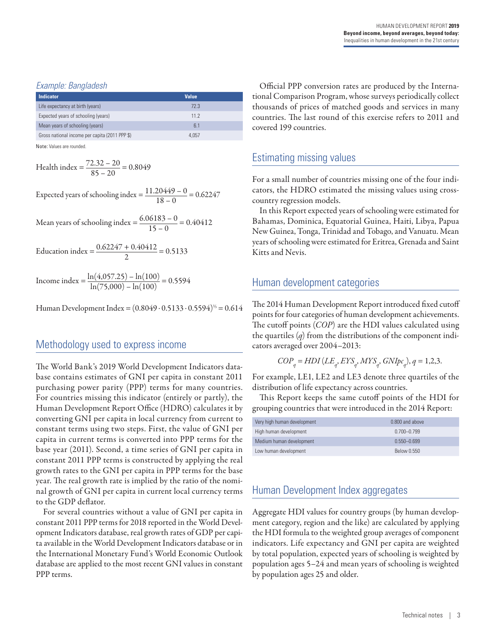#### *Example: Bangladesh*

| <b>Indicator</b>                               | Value           |  |
|------------------------------------------------|-----------------|--|
| Life expectancy at birth (years)               | 72.3            |  |
| Expected years of schooling (years)            | 11 <sub>2</sub> |  |
| Mean years of schooling (years)                | 6.1             |  |
| Gross national income per capita (2011 PPP \$) | 4.057           |  |

Note: Values are rounded.

Health index = 
$$
\frac{72.32 - 20}{85 - 20} = 0.8049
$$

Expected years of schooling index  $=$   $\frac{11.20449 - 0}{18 - 0} = 0.62247$ 

Mean years of schooling index =  $\frac{6.06183 - 0}{15 - 0}$  = 0.40412

$$
Education index = \frac{0.62247 + 0.40412}{2} = 0.5133
$$

Income index =  $\frac{\ln(4.057.25) - \ln(100)}{\ln(75.000) - \ln(100)}$  = 0.5594

Human Development Index =  $(0.8049 \cdot 0.5133 \cdot 0.5594)^{1/3} = 0.614$ 

### Methodology used to express income

The World Bank's 2019 World Development Indicators database contains estimates of GNI per capita in constant 2011 purchasing power parity (PPP) terms for many countries. For countries missing this indicator (entirely or partly), the Human Development Report Office (HDRO) calculates it by converting GNI per capita in local currency from current to constant terms using two steps. First, the value of GNI per capita in current terms is converted into PPP terms for the base year (2011). Second, a time series of GNI per capita in constant 2011 PPP terms is constructed by applying the real growth rates to the GNI per capita in PPP terms for the base year. The real growth rate is implied by the ratio of the nominal growth of GNI per capita in current local currency terms to the GDP deflator.

For several countries without a value of GNI per capita in constant 2011 PPP terms for 2018 reported in the World Development Indicators database, real growth rates of GDP per capita available in the World Development Indicators database or in the International Monetary Fund's World Economic Outlook database are applied to the most recent GNI values in constant PPP terms.

Official PPP conversion rates are produced by the International Comparison Program, whose surveys periodically collect thousands of prices of matched goods and services in many countries. The last round of this exercise refers to 2011 and covered 199 countries.

### Estimating missing values

For a small number of countries missing one of the four indicators, the HDRO estimated the missing values using crosscountry regression models.

In this Report expected years of schooling were estimated for Bahamas, Dominica, Equatorial Guinea, Haiti, Libya, Papua New Guinea, Tonga, Trinidad and Tobago, and Vanuatu. Mean years of schooling were estimated for Eritrea, Grenada and Saint Kitts and Nevis.

### Human development categories

The 2014 Human Development Report introduced fixed cutoff points for four categories of human development achievements. The cutoff points (*COP*) are the HDI values calculated using the quartiles (*q*) from the distributions of the component indicators averaged over 2004–2013:

$$
COP_q = HDI(LE_q, EYS_q, MYS_q, GNIpc_q), q = 1,2,3.
$$

For example, LE1, LE2 and LE3 denote three quartiles of the distribution of life expectancy across countries.

This Report keeps the same cutoff points of the HDI for grouping countries that were introduced in the 2014 Report:

| Very high human development | 0.800 and above |
|-----------------------------|-----------------|
| High human development      | $0.700 - 0.799$ |
| Medium human development    | $0.550 - 0.699$ |
| Low human development       | Below 0.550     |

### Human Development Index aggregates

Aggregate HDI values for country groups (by human development category, region and the like) are calculated by applying the HDI formula to the weighted group averages of component indicators. Life expectancy and GNI per capita are weighted by total population, expected years of schooling is weighted by population ages 5–24 and mean years of schooling is weighted by population ages 25 and older.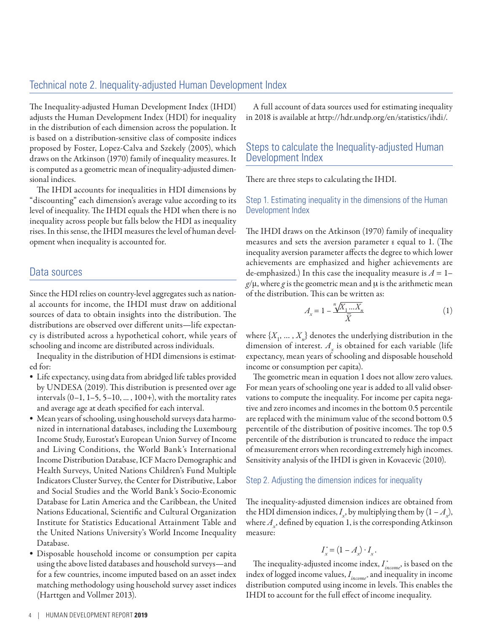### Technical note 2. Inequality-adjusted Human Development Index

The Inequality-adjusted Human Development Index (IHDI) adjusts the Human Development Index (HDI) for inequality in the distribution of each dimension across the population. It is based on a distribution-sensitive class of composite indices proposed by Foster, Lopez-Calva and Szekely (2005), which draws on the Atkinson (1970) family of inequality measures. It is computed as a geometric mean of inequality-adjusted dimensional indices.

The IHDI accounts for inequalities in HDI dimensions by "discounting" each dimension's average value according to its level of inequality. The IHDI equals the HDI when there is no inequality across people but falls below the HDI as inequality rises. In this sense, the IHDI measures the level of human development when inequality is accounted for.

### Data sources

Since the HDI relies on country-level aggregates such as national accounts for income, the IHDI must draw on additional sources of data to obtain insights into the distribution. The distributions are observed over different units—life expectancy is distributed across a hypothetical cohort, while years of schooling and income are distributed across individuals.

Inequality in the distribution of HDI dimensions is estimated for:

- Life expectancy, using data from abridged life tables provided by UNDESA (2019). This distribution is presented over age intervals  $(0-1, 1-5, 5-10, \ldots, 100+)$ , with the mortality rates and average age at death specified for each interval.
- Mean years of schooling, using household surveys data harmonized in international databases, including the Luxembourg Income Study, Eurostat's European Union Survey of Income and Living Conditions, the World Bank's International Income Distribution Database, ICF Macro Demographic and Health Surveys, United Nations Children's Fund Multiple Indicators Cluster Survey, the Center for Distributive, Labor and Social Studies and the World Bank's Socio-Economic Database for Latin America and the Caribbean, the United Nations Educational, Scientific and Cultural Organization Institute for Statistics Educational Attainment Table and the United Nations University's World Income Inequality Database.
- Disposable household income or consumption per capita using the above listed databases and household surveys—and for a few countries, income imputed based on an asset index matching methodology using household survey asset indices (Harttgen and Vollmer 2013).

A full account of data sources used for estimating inequality in 2018 is available at<http://hdr.undp.org/en/statistics/ihdi/>.

### Steps to calculate the Inequality-adjusted Human Development Index

There are three steps to calculating the IHDI.

Step 1. Estimating inequality in the dimensions of the Human Development Index

The IHDI draws on the Atkinson (1970) family of inequality measures and sets the aversion parameter ε equal to 1. (The inequality aversion parameter affects the degree to which lower achievements are emphasized and higher achievements are de-emphasized.) In this case the inequality measure is  $A = 1$  $g/\mu$ , where g is the geometric mean and  $\mu$  is the arithmetic mean of the distribution. This can be written as:

$$
A_x = 1 - \frac{\sqrt[n]{X_1 \dots X_n}}{\bar{X}} \tag{1}
$$

where  $\{X_1, \ldots, X_n\}$  denotes the underlying distribution in the dimension of interest.  $A_x$  is obtained for each variable (life expectancy, mean years of schooling and disposable household income or consumption per capita).

The geometric mean in equation 1 does not allow zero values. For mean years of schooling one year is added to all valid observations to compute the inequality. For income per capita negative and zero incomes and incomes in the bottom 0.5 percentile are replaced with the minimum value of the second bottom 0.5 percentile of the distribution of positive incomes. The top 0.5 percentile of the distribution is truncated to reduce the impact of measurement errors when recording extremely high incomes. Sensitivity analysis of the IHDI is given in Kovacevic (2010).

#### Step 2. Adjusting the dimension indices for inequality

The inequality-adjusted dimension indices are obtained from the HDI dimension indices,  $I_x$ , by multiplying them by  $(1 - A_x)$ , where  $A_{x}$ , defined by equation 1, is the corresponding Atkinson measure:

$$
I_x^* = (1 - A_x) \cdot I_x.
$$

The inequality-adjusted income index, *I \* income*, is based on the index of logged income values, *I income\** and inequality in income distribution computed using income in levels. This enables the IHDI to account for the full effect of income inequality.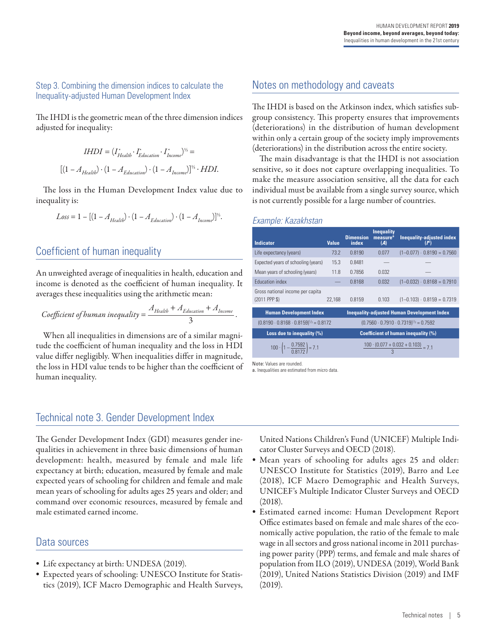### Step 3. Combining the dimension indices to calculate the Inequality-adjusted Human Development Index

The IHDI is the geometric mean of the three dimension indices adjusted for inequality:

$$
IHDI = (I_{Health}^{*} \cdot I_{Education}^{*} \cdot I_{Income}^{*})^{\frac{1}{2}} =
$$
  

$$
[(1 - A_{Health}) \cdot (1 - A_{Education}) \cdot (1 - A_{Income})]^{\frac{1}{2}} \cdot HDI.
$$

The loss in the Human Development Index value due to inequality is:

$$
Loss = 1 - [(1 - A_{Health}) \cdot (1 - A_{Education}) \cdot (1 - A_{Incom})]^{1/3}.
$$

# Coefficient of human inequality

An unweighted average of inequalities in health, education and income is denoted as the coefficient of human inequality. It averages these inequalities using the arithmetic mean:

Coefficient of human inequality = 
$$
\frac{A_{Health} + A_{Education} + A_{Income}}{3}.
$$

When all inequalities in dimensions are of a similar magnitude the coefficient of human inequality and the loss in HDI value differ negligibly. When inequalities differ in magnitude, the loss in HDI value tends to be higher than the coefficient of human inequality.

# Notes on methodology and caveats

The IHDI is based on the Atkinson index, which satisfies subgroup consistency. This property ensures that improvements (deteriorations) in the distribution of human development within only a certain group of the society imply improvements (deteriorations) in the distribution across the entire society.

The main disadvantage is that the IHDI is not association sensitive, so it does not capture overlapping inequalities. To make the measure association sensitive, all the data for each individual must be available from a single survey source, which is not currently possible for a large number of countries.

#### *Example: Kazakhstan*

| <b>Indicator</b>                                           | <b>Value</b> | <b>Dimension</b><br>index                      | <b>Inequality</b><br>measure <sup>a</sup><br>(A)    | <b>Inequality-adjusted index</b><br>$(F^*)$        |  |  |
|------------------------------------------------------------|--------------|------------------------------------------------|-----------------------------------------------------|----------------------------------------------------|--|--|
| Life expectancy (years)                                    | 73.2         | 0.8190                                         | 0.077                                               | $(1-0.077) \cdot 0.8190 = 0.7560$                  |  |  |
| Expected years of schooling (years)                        | 15.3         | 0.8481                                         |                                                     |                                                    |  |  |
| Mean years of schooling (years)                            | 11.8         | 0.7856                                         | 0.032                                               |                                                    |  |  |
| <b>Education index</b>                                     |              | 0.8168                                         | 0.032                                               | $(1-0.032) \cdot 0.8168 = 0.7910$                  |  |  |
| Gross national income per capita<br>(2011 PPP \$)          | 22,168       | 0.8159                                         | 0.103                                               | $(1-0.103) \cdot 0.8159 = 0.7319$                  |  |  |
| <b>Human Development Index</b>                             |              |                                                |                                                     | <b>Inequality-adjusted Human Development Index</b> |  |  |
| $(0.8190 \cdot 0.8168 \cdot 0.8159)^{1/3} = 0.8172$        |              |                                                | $(0.7560 \cdot 0.7910 \cdot 0.7319)^{1/3} = 0.7592$ |                                                    |  |  |
| Loss due to inequality (%)                                 |              | <b>Coefficient of human inequality (%)</b>     |                                                     |                                                    |  |  |
| 100 $\cdot$ $\left(1 - \frac{0.7592}{0.8172}\right) = 7.1$ |              | $100 \cdot (0.077 + 0.032 + 0.103)$<br>$= 7.1$ |                                                     |                                                    |  |  |

Note: Values are rounded.

a. Inequalities are estimated from micro data

### Technical note 3. Gender Development Index

The Gender Development Index (GDI) measures gender inequalities in achievement in three basic dimensions of human development: health, measured by female and male life expectancy at birth; education, measured by female and male expected years of schooling for children and female and male mean years of schooling for adults ages 25 years and older; and command over economic resources, measured by female and male estimated earned income.

### Data sources

- Life expectancy at birth: UNDESA (2019).
- Expected years of schooling: UNESCO Institute for Statistics (2019), ICF Macro Demographic and Health Surveys,

United Nations Children's Fund (UNICEF) Multiple Indicator Cluster Surveys and OECD (2018).

- Mean years of schooling for adults ages 25 and older: UNESCO Institute for Statistics (2019), Barro and Lee (2018), ICF Macro Demographic and Health Surveys, UNICEF's Multiple Indicator Cluster Surveys and OECD (2018).
- Estimated earned income: Human Development Report Office estimates based on female and male shares of the economically active population, the ratio of the female to male wage in all sectors and gross national income in 2011 purchasing power parity (PPP) terms, and female and male shares of population from ILO (2019), UNDESA (2019), World Bank (2019), United Nations Statistics Division (2019) and IMF (2019).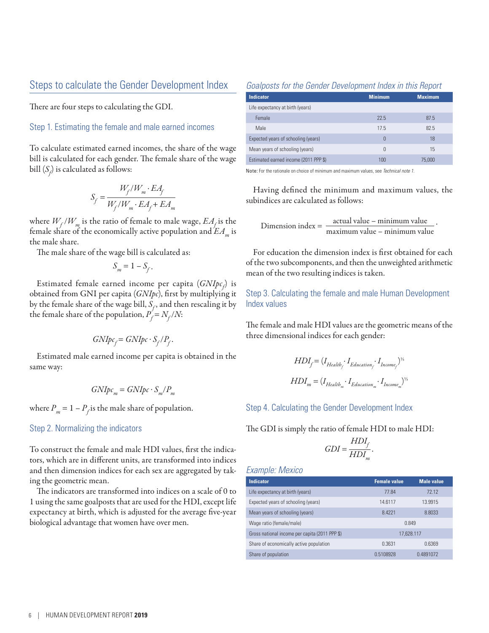### Steps to calculate the Gender Development Index

There are four steps to calculating the GDI.

Step 1. Estimating the female and male earned incomes

To calculate estimated earned incomes, the share of the wage bill is calculated for each gender. The female share of the wage bill  $(\mathcal{S}_{\!f\!})$  is calculated as follows:

$$
S_f = \frac{W_f/W_m \cdot EA_f}{W_f/W_m \cdot EA_f + EA_m}
$$

where  $W_f/W_m$  is the ratio of female to male wage,  $EA_f$  is the female share of the economically active population and  $EA_{m}$  is the male share.

The male share of the wage bill is calculated as:

$$
S_m = 1 - S_f.
$$

Estimated female earned income per capita (*GNIpc<sub>f</sub>*) is obtained from GNI per capita (*GNIpc*), first by multiplying it by the female share of the wage bill,  $S_f$ , and then rescaling it by the female share of the population,  $P_f = N_f/N$ :

$$
GNIpc_f = GNIpc \cdot S_f/P_f.
$$

Estimated male earned income per capita is obtained in the same way:

$$
GNIpc_m = GNIpc \cdot S_m/P_m
$$

where  $P_m = 1 - P_f$  is the male share of population.

#### Step 2. Normalizing the indicators

To construct the female and male HDI values, first the indicators, which are in different units, are transformed into indices and then dimension indices for each sex are aggregated by taking the geometric mean.

The indicators are transformed into indices on a scale of 0 to 1 using the same goalposts that are used for the HDI, except life expectancy at birth, which is adjusted for the average five-year biological advantage that women have over men.

#### *Goalposts for the Gender Development Index in this Report*

| <b>Indicator</b>                      | <b>Minimum</b> | <b>Maximum</b> |
|---------------------------------------|----------------|----------------|
| Life expectancy at birth (years)      |                |                |
| Female                                | 22.5           | 87.5           |
| <b>Male</b>                           | 17.5           | 82.5           |
| Expected years of schooling (years)   | 0              | 18             |
| Mean years of schooling (years)       | $\Omega$       | 15             |
| Estimated earned income (2011 PPP \$) | 100            | 75,000         |

Note: For the rationale on choice of minimum and maximum values, see *Technical note 1.*

Having defined the minimum and maximum values, the subindices are calculated as follows:

 $D$ imension index =  $\frac{\text{actual value} - \text{minimum value}}{\text{maximum value} - \text{minimum value}}$ 

.

For education the dimension index is first obtained for each of the two subcomponents, and then the unweighted arithmetic mean of the two resulting indices is taken.

Step 3. Calculating the female and male Human Development Index values

The female and male HDI values are the geometric means of the three dimensional indices for each gender:

$$
HDI_f = (I_{Health_f} \cdot I_{Education_f} \cdot I_{Income_f})^{1/5}
$$
  

$$
HDI_m = (I_{Health_m} \cdot I_{Education_m} \cdot I_{Income_m})^{1/5}
$$

Step 4. Calculating the Gender Development Index

The GDI is simply the ratio of female HDI to male HDI:

$$
GDI = \frac{HDI_f}{HDI_m}
$$

 *.*

### *Example: Mexico*

| <b>Indicator</b>                               | <b>Female value</b> | <b>Male value</b> |  |  |
|------------------------------------------------|---------------------|-------------------|--|--|
| Life expectancy at birth (years)               | 77.84               | 72.12             |  |  |
| Expected years of schooling (years)            | 14.6117             | 13.9915           |  |  |
| Mean years of schooling (years)                | 8.4221              | 8.8033            |  |  |
| Wage ratio (female/male)                       | 0.849               |                   |  |  |
| Gross national income per capita (2011 PPP \$) | 17.628.117          |                   |  |  |
| Share of economically active population        | 0.3631              | 0.6369            |  |  |
| Share of population                            | 0.5108928           | 0.4891072         |  |  |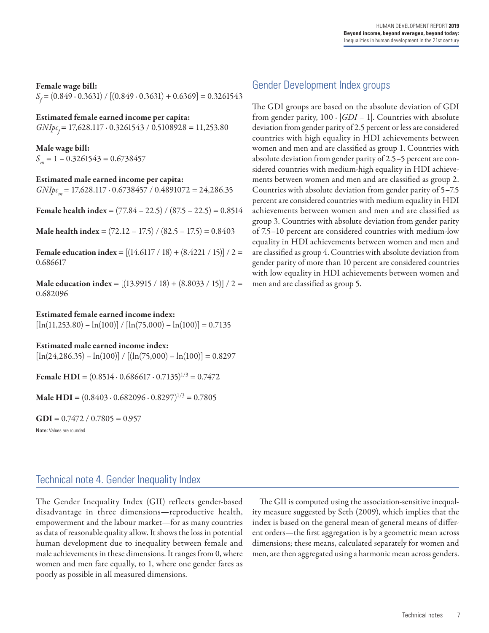#### Female wage bill:

*S<sub>f</sub>* = (0.849 ⋅ 0.3631) / [(0.849 ⋅ 0.3631) + 0.6369] = 0.3261543

#### Estimated female earned income per capita:

*GNIpcf* = 17,628.117 ∙ 0.3261543 / 0.5108928 = 11,253.80

Male wage bill:  $S_m = 1 - 0.3261543 = 0.6738457$ 

Estimated male earned income per capita: *GNIpc*<sub>m</sub> = 17,628.117 ⋅ 0.6738457 / 0.4891072 = 24,286.35

**Female health index** =  $(77.84 - 22.5) / (87.5 - 22.5) = 0.8514$ 

**Male health index** =  $(72.12 – 17.5) / (82.5 – 17.5) = 0.8403$ 

Female education index =  $[(14.6117 / 18) + (8.4221 / 15)] / 2 =$ 0.686617

Male education index =  $[(13.9915 / 18) + (8.8033 / 15)] / 2 =$ 0.682096

Estimated female earned income index:

 $[\ln(11,253.80) - \ln(100)] / [\ln(75,000) - \ln(100)] = 0.7135$ 

Estimated male earned income index:

 $[\ln(24,286.35) - \ln(100)] / [( \ln(75,000) - \ln(100) ] = 0.8297$ 

Female HDI =  $(0.8514 \cdot 0.686617 \cdot 0.7135)^{1/3} = 0.7472$ 

**Male HDI** =  $(0.8403 \cdot 0.682096 \cdot 0.8297)^{1/3} = 0.7805$ 

 $GDI = 0.7472 / 0.7805 = 0.957$ 

Note: Values are rounded.

### Gender Development Index groups

The GDI groups are based on the absolute deviation of GDI from gender parity,  $100 \cdot |GDI - 1|$ . Countries with absolute deviation from gender parity of 2.5 percent or less are considered countries with high equality in HDI achievements between women and men and are classified as group 1. Countries with absolute deviation from gender parity of 2.5–5 percent are considered countries with medium-high equality in HDI achievements between women and men and are classified as group 2. Countries with absolute deviation from gender parity of 5–7.5 percent are considered countries with medium equality in HDI achievements between women and men and are classified as group 3. Countries with absolute deviation from gender parity of 7.5–10 percent are considered countries with medium-low equality in HDI achievements between women and men and are classified as group 4. Countries with absolute deviation from gender parity of more than 10 percent are considered countries with low equality in HDI achievements between women and men and are classified as group 5.

### Technical note 4. Gender Inequality Index

The Gender Inequality Index (GII) reflects gender-based disadvantage in three dimensions—reproductive health, empowerment and the labour market—for as many countries as data of reasonable quality allow. It shows the loss in potential human development due to inequality between female and male achievements in these dimensions. It ranges from 0, where women and men fare equally, to 1, where one gender fares as poorly as possible in all measured dimensions.

The GII is computed using the association-sensitive inequality measure suggested by Seth (2009), which implies that the index is based on the general mean of general means of different orders—the first aggregation is by a geometric mean across dimensions; these means, calculated separately for women and men, are then aggregated using a harmonic mean across genders.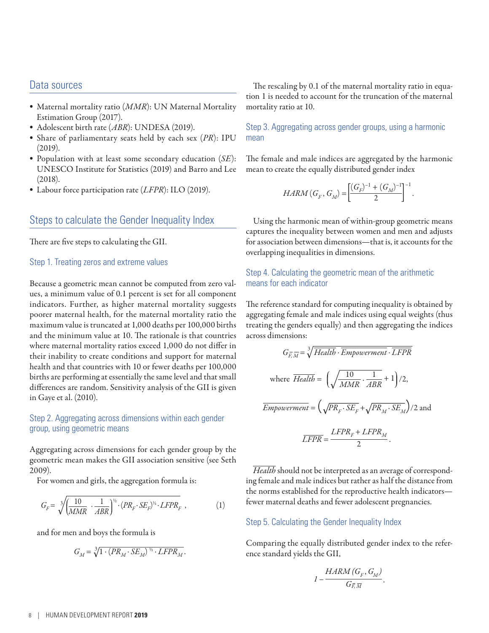### Data sources

- Maternal mortality ratio (*MMR*): UN Maternal Mortality Estimation Group (2017).
- Adolescent birth rate (*ABR*): UNDESA (2019).
- Share of parliamentary seats held by each sex (*PR*): IPU (2019).
- Population with at least some secondary education (*SE*): UNESCO Institute for Statistics (2019) and Barro and Lee (2018).
- Labour force participation rate (*LFPR*): ILO (2019).

### Steps to calculate the Gender Inequality Index

There are five steps to calculating the GII.

#### Step 1. Treating zeros and extreme values

Because a geometric mean cannot be computed from zero values, a minimum value of 0.1 percent is set for all component indicators. Further, as higher maternal mortality suggests poorer maternal health, for the maternal mortality ratio the maximum value is truncated at 1,000 deaths per 100,000 births and the minimum value at 10. The rationale is that countries where maternal mortality ratios exceed 1,000 do not differ in their inability to create conditions and support for maternal health and that countries with 10 or fewer deaths per 100,000 births are performing at essentially the same level and that small differences are random. Sensitivity analysis of the GII is given in Gaye et al. (2010).

#### Step 2. Aggregating across dimensions within each gender group, using geometric means

Aggregating across dimensions for each gender group by the geometric mean makes the GII association sensitive (see Seth 2009).

For women and girls, the aggregation formula is:

$$
G_F = \sqrt[3]{\left(\frac{10}{MMR} \cdot \frac{1}{ABR}\right)^{\frac{1}{2}} \cdot (PR_F \cdot SE_F)^{\frac{1}{2}} \cdot LFPR_F} ,\qquad (1)
$$

and for men and boys the formula is

$$
G_M = \sqrt[3]{1 \cdot (PR_M \cdot SE_M)^{\frac{1}{2}} \cdot LFPR_M}.
$$

The rescaling by 0.1 of the maternal mortality ratio in equation 1 is needed to account for the truncation of the maternal mortality ratio at 10.

Step 3. Aggregating across gender groups, using a harmonic mean

The female and male indices are aggregated by the harmonic mean to create the equally distributed gender index

$$
HARM(G_F, G_M) = \left[\frac{(G_F)^{-1} + (G_M)^{-1}}{2}\right]^{-1}
$$

.

Using the harmonic mean of within-group geometric means captures the inequality between women and men and adjusts for association between dimensions—that is, it accounts for the overlapping inequalities in dimensions.

### Step 4. Calculating the geometric mean of the arithmetic means for each indicator

The reference standard for computing inequality is obtained by aggregating female and male indices using equal weights (thus treating the genders equally) and then aggregating the indices across dimensions:

$$
G_{\overline{E,M}} = \sqrt[3]{Health \cdot Empowerment \cdot \overline{LFPR}}
$$
  
where  $\overline{Health} = \left(\sqrt{\frac{10}{MMR} \cdot \frac{1}{ABR}} + 1\right)/2$ ,  
 $\overline{Empowerment} = \left(\sqrt{PR_F \cdot SE_F} + \sqrt{PR_M \cdot SE_M}\right)/2$  and  
 $\overline{LFPR} = \frac{LFPR_F + LFPR_M}{2}$ .

*Health* should not be interpreted as an average of corresponding female and male indices but rather as half the distance from the norms established for the reproductive health indicators fewer maternal deaths and fewer adolescent pregnancies.

#### Step 5. Calculating the Gender Inequality Index

Comparing the equally distributed gender index to the reference standard yields the GII,

$$
I - \frac{HARM(G_F, G_M)}{G_{\overline{F},\overline{M}}}.
$$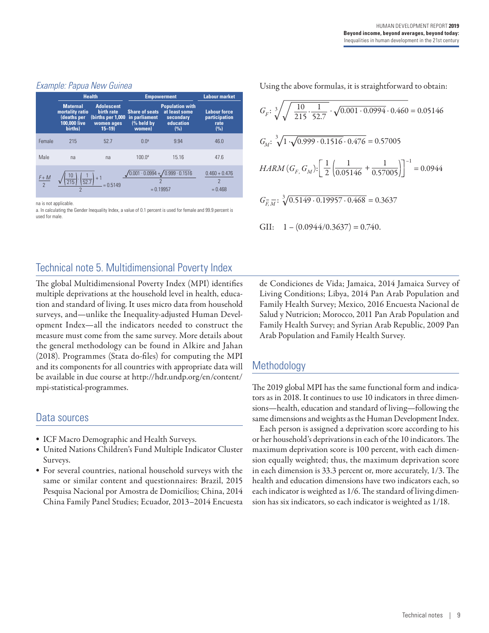### *Example: Papua New Guinea*

|               |                                                                             | <b>Health</b>                                                                    | <b>Empowerment</b>                                                     | <b>Labour market</b>                                                     |                                                     |  |
|---------------|-----------------------------------------------------------------------------|----------------------------------------------------------------------------------|------------------------------------------------------------------------|--------------------------------------------------------------------------|-----------------------------------------------------|--|
|               | <b>Maternal</b><br>mortality ratio<br>deaths per<br>100,000 live<br>births) | <b>Adolescent</b><br>birth rate<br>(births per 1,000)<br>women ages<br>$15 - 19$ | <b>Share of seats</b><br>in parliament<br>(% held by<br>women)         | <b>Population with</b><br>at least some<br>secondary<br>education<br>(%) | <b>Labour force</b><br>participation<br>rate<br>(%) |  |
| Female        | 215                                                                         | 52.7                                                                             | 0.0 <sup>a</sup>                                                       | 9.94                                                                     | 46.0                                                |  |
| Male          | na                                                                          | na                                                                               | 100.0 <sup>a</sup>                                                     | 15.16                                                                    | 47.6                                                |  |
| $rac{F+M}{2}$ | 52.7<br>215                                                                 | $= 0.5149$                                                                       | $\sqrt{0.001 \cdot 0.0994} + \sqrt{0.999 \cdot 0.1516}$<br>$= 0.19957$ |                                                                          | $0.460 + 0.476$<br>2<br>$= 0.468$                   |  |

na is not applicable.

a. In calculating the Gender Inequality Index, a value of 0.1 percent is used for female and 99.9 percent is used for male.

Using the above formulas, it is straightforward to obtain:

$$
G_F: \sqrt[3]{\sqrt{\frac{10}{215} \cdot \frac{1}{52.7}} \cdot \sqrt{0.001 \cdot 0.0994} \cdot 0.460} = 0.05146
$$
  

$$
G_M: \sqrt[3]{1 \cdot \sqrt{0.999 \cdot 0.1516} \cdot 0.476} = 0.57005
$$
  

$$
HARM (G_F, G_M): \left[\frac{1}{2} \left(\frac{1}{0.05146} + \frac{1}{0.57005}\right)\right]^{-1} = 0.0944
$$
  

$$
G_{\overline{F}, \overline{M}}: \sqrt[3]{0.5149 \cdot 0.19957 \cdot 0.468} = 0.3637
$$
  
GII: 
$$
1 - (0.0944/0.3637) = 0.740.
$$

# Technical note 5. Multidimensional Poverty Index

The global Multidimensional Poverty Index (MPI) identifies multiple deprivations at the household level in health, education and standard of living. It uses micro data from household surveys, and—unlike the Inequality-adjusted Human Development Index—all the indicators needed to construct the measure must come from the same survey. More details about the general methodology can be found in Alkire and Jahan (2018). Programmes (Stata do-files) for computing the MPI and its components for all countries with appropriate data will be available in due course at [http://hdr.undp.org/en/content/](http://hdr.undp.org/en/content/mpi-statistical-programmes) [mpi-statistical-programmes.](http://hdr.undp.org/en/content/mpi-statistical-programmes)

### Data sources

- ICF Macro Demographic and Health Surveys.
- United Nations Children's Fund Multiple Indicator Cluster Surveys.
- For several countries, national household surveys with the same or similar content and questionnaires: Brazil, 2015 Pesquisa Nacional por Amostra de Domicílios; China, 2014 China Family Panel Studies; Ecuador, 2013–2014 Encuesta

de Condiciones de Vida; Jamaica, 2014 Jamaica Survey of Living Conditions; Libya, 2014 Pan Arab Population and Family Health Survey; Mexico, 2016 Encuesta Nacional de Salud y Nutricion; Morocco, 2011 Pan Arab Population and Family Health Survey; and Syrian Arab Republic, 2009 Pan Arab Population and Family Health Survey.

# **Methodology**

The 2019 global MPI has the same functional form and indicators as in 2018. It continues to use 10 indicators in three dimensions—health, education and standard of living—following the same dimensions and weights as the Human Development Index.

Each person is assigned a deprivation score according to his or her household's deprivations in each of the 10 indicators. The maximum deprivation score is 100 percent, with each dimension equally weighted; thus, the maximum deprivation score in each dimension is 33.3 percent or, more accurately, 1/3. The health and education dimensions have two indicators each, so each indicator is weighted as 1/6. The standard of living dimension has six indicators, so each indicator is weighted as 1/18.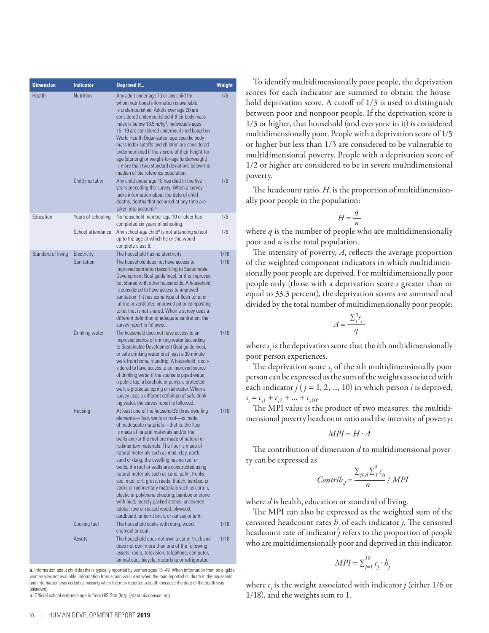| <b>Dimension</b>   | <b>Indicator</b>                    | Deprived if                                                                                                                                                                                                                                                                                                                                                                                                                                                                                                                                                                                                                                                                                                                                                                 | <b>Weight</b> |
|--------------------|-------------------------------------|-----------------------------------------------------------------------------------------------------------------------------------------------------------------------------------------------------------------------------------------------------------------------------------------------------------------------------------------------------------------------------------------------------------------------------------------------------------------------------------------------------------------------------------------------------------------------------------------------------------------------------------------------------------------------------------------------------------------------------------------------------------------------------|---------------|
| Health             | <b>Nutrition</b><br>Child mortality | Any adult under age 70 or any child for<br>whom nutritional information is available<br>is undernourished. Adults over age 20 are<br>considered undernourished if their body mass<br>index is below 18.5 m/kg <sup>2</sup> , individuals ages<br>15-19 are considered undernourished based on<br>World Health Organization age-specific body<br>mass index cutoffs and children are considered<br>undernourished if the z-score of their height-for-<br>age (stunting) or weight-for-age (underweight)<br>is more than two standard deviations below the<br>median of the reference population.<br>Any child under age 18 has died in the five<br>years preceding the survey. When a survey                                                                                 | 1/6<br>1/6    |
|                    |                                     | lacks information about the date of child<br>deaths, deaths that occurred at any time are<br>taken into account. <sup>a</sup>                                                                                                                                                                                                                                                                                                                                                                                                                                                                                                                                                                                                                                               |               |
| Education          | Years of schooling                  | No household member age 10 or older has<br>completed six years of schooling.                                                                                                                                                                                                                                                                                                                                                                                                                                                                                                                                                                                                                                                                                                | 1/6           |
|                    | School attendance                   | Any school-age child <sup>b</sup> is not attending school<br>up to the age at which he or she would<br>complete class 8.                                                                                                                                                                                                                                                                                                                                                                                                                                                                                                                                                                                                                                                    | 1/6           |
| Standard of living | Electricity<br>Sanitation           | The household has no electricity.<br>The household does not have access to<br>improved sanitation (according to Sustainable<br>Development Goal guidelines), or it is improved<br>but shared with other households. A household<br>is considered to have access to improved<br>sanitation if it has some type of flush toilet or<br>latrine or ventilated improved pit or composting<br>toilet that is not shared. When a survey uses a<br>different definition of adequate sanitation, the<br>survey report is followed.                                                                                                                                                                                                                                                   | 1/18<br>1/18  |
|                    | Drinking water                      | The household does not have access to an<br>improved source of drinking water (according<br>to Sustainable Development Goal guidelines),<br>or safe drinking water is at least a 30-minute<br>walk from home, roundtrip. A household is con-<br>sidered to have access to an improved source<br>of drinking water if the source is piped water,<br>a public tap, a borehole or pump, a protected<br>well, a protected spring or rainwater. When a<br>survey uses a different definition of safe drink-<br>ing water, the survey report is followed.                                                                                                                                                                                                                         | 1/18          |
|                    | Housing                             | At least one of the household's three dwelling<br>elements-floor, walls or roof-is made<br>of inadequate materials-that is, the floor<br>is made of natural materials and/or the<br>walls and/or the roof are made of natural or<br>rudimentary materials. The floor is made of<br>natural materials such as mud, clay, earth,<br>sand or dung; the dwelling has no roof or<br>walls; the roof or walls are constructed using<br>natural materials such as cane, palm, trunks,<br>sod, mud, dirt, grass, reeds, thatch, bamboo or<br>sticks or rudimentary materials such as carton,<br>plastic or polythene sheeting, bamboo or stone<br>with mud, loosely packed stones, uncovered<br>adobe, raw or reused wood, plywood,<br>cardboard, unburnt brick, or canvas or tent. | 1/18          |
|                    | Cooking fuel                        | The household cooks with dung, wood,<br>charcoal or coal.                                                                                                                                                                                                                                                                                                                                                                                                                                                                                                                                                                                                                                                                                                                   | 1/18          |
|                    | Assets                              | The household does not own a car or truck and<br>does not own more than one of the following<br>assets: radio, television, telephone, computer,<br>animal cart, bicycle, motorbike or refrigerator.                                                                                                                                                                                                                                                                                                                                                                                                                                                                                                                                                                         | 1/18          |

a. Information about child deaths is typically reported by women ages 15–49. When information from an eligible woman was not available, information from a man was used when the man reported no death in the household, and information was coded as missing when the man reported a death (because the date of the death was unknown).

b. Official school entrance age is from UIS.Stat [\(http://data.uis.unesco.org](http://data.uis.unesco.org)).

To identify multidimensionally poor people, the deprivation scores for each indicator are summed to obtain the household deprivation score. A cutoff of 1/3 is used to distinguish between poor and nonpoor people. If the deprivation score is 1/3 or higher, that household (and everyone in it) is considered multidimensionally poor. People with a deprivation score of 1/5 or higher but less than 1/3 are considered to be vulnerable to multidimensional poverty. People with a deprivation score of 1/2 or higher are considered to be in severe multidimensional poverty.

The headcount ratio, *H*, is the proportion of multidimensionally poor people in the population:

$$
H = \frac{q}{n}
$$

where *q* is the number of people who are multidimensionally poor and *n* is the total population.

The intensity of poverty, *A*, reflects the average proportion of the weighted component indicators in which multidimensionally poor people are deprived. For multidimensionally poor people only (those with a deprivation score *s* greater than or equal to 33.3 percent), the deprivation scores are summed and divided by the total number of multidimensionally poor people:

$$
A = \frac{\sum_{i=1}^{q} s_i}{q}
$$

where  $s_i$  is the deprivation score that the *i*th multidimensionally poor person experiences.

The deprivation score  $s_i$  of the *i*th multidimensionally poor person can be expressed as the sum of the weights associated with each indicator  $j$  ( $j = 1, 2, ..., 10$ ) in which person  $i$  is deprived,  $s_i = c_{i1} + c_{i2} + \dots + c_{i10}.$ 

The MPI value is the product of two measures: the multidimensional poverty headcount ratio and the intensity of poverty:

$$
MPI = H \cdot A
$$

The contribution of dimension *d* to multidimensional poverty can be expressed as

$$
Contrib_d = \frac{\sum_{j \in d} \sum_{1}^{2} c_{ij}}{n} / MPI
$$

*q*

where *d* is health, education or standard of living.

The MPI can also be expressed as the weighted sum of the censored headcount rates *hj* of each indicator *j*. The censored headcount rate of indicator *j* refers to the proportion of people who are multidimensionally poor and deprived in this indicator.

$$
MPI = \sum_{j=1}^{10} c_j \cdot b_j
$$

where  $c_j$  is the weight associated with indicator *j* (either 1/6 or 1/18), and the weights sum to 1.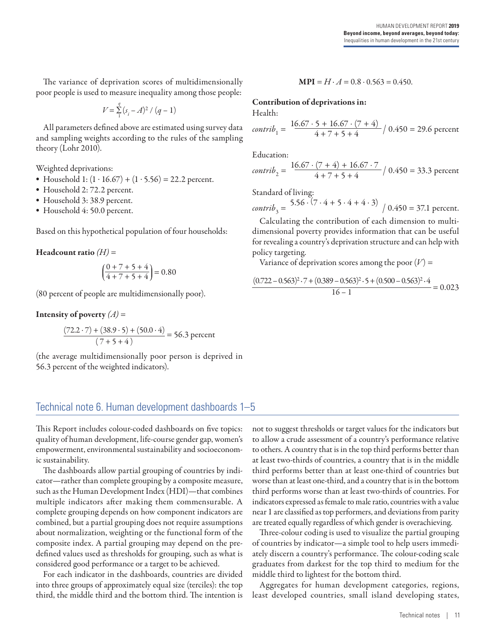The variance of deprivation scores of multidimensionally poor people is used to measure inequality among those people:

$$
V\!=\!\textstyle\sum\limits_{1}^{q}\left(s_{i}\!-\!A\right)^{2}/\left(q-1\right)
$$

All parameters defined above are estimated using survey data and sampling weights according to the rules of the sampling theory (Lohr 2010).

Weighted deprivations:

- Household 1:  $(1 \cdot 16.67) + (1 \cdot 5.56) = 22.2$  percent.
- Household 2: 72.2 percent.
- Household 3: 38.9 percent.
- Household 4: 50.0 percent.

Based on this hypothetical population of four households:

**Headcount ratio**  $(H)$  =

$$
\left(\frac{0+7+5+4}{4+7+5+4}\right) = 0.80
$$

(80 percent of people are multidimensionally poor).

**Intensity of poverty**  $(A)$  =

$$
\frac{(72.2 \cdot 7) + (38.9 \cdot 5) + (50.0 \cdot 4)}{(7 + 5 + 4)} = 56.3 \text{ percent}
$$

(the average multidimensionally poor person is deprived in 56.3 percent of the weighted indicators).

#### $MPI = H \cdot A = 0.8 \cdot 0.563 = 0.450.$

Contribution of deprivations in:

Health:

*contrib*<sub>1</sub> = 
$$
\frac{16.67 \cdot 5 + 16.67 \cdot (7 + 4)}{4 + 7 + 5 + 4} / 0.450 = 29.6
$$
 percent

Education:

*contrib*<sub>2</sub> = 
$$
\frac{16.67 \cdot (7 + 4) + 16.67 \cdot 7}{4 + 7 + 5 + 4} / 0.450 = 33.3
$$
 percent

Standard of living:

 $\text{contrib}_3 = \frac{5.56 \cdot (7 \cdot 4 + 5 \cdot 4 + 4 \cdot 3)}{0.450} = 37.1 \text{ percent.}$ 

Calculating the contribution of each dimension to multidimensional poverty provides information that can be useful for revealing a country's deprivation structure and can help with policy targeting.

Variance of deprivation scores among the poor  $(V)$  =

$$
\frac{(0.722 - 0.563)^2 \cdot 7 + (0.389 - 0.563)^2 \cdot 5 + (0.500 - 0.563)^2 \cdot 4}{16 - 1} = 0.023
$$

### Technical note 6. Human development dashboards 1–5

This Report includes colour-coded dashboards on five topics: quality of human development, life-course gender gap, women's empowerment, environmental sustainability and socioeconomic sustainability.

The dashboards allow partial grouping of countries by indicator—rather than complete grouping by a composite measure, such as the Human Development Index (HDI)—that combines multiple indicators after making them commensurable. A complete grouping depends on how component indicators are combined, but a partial grouping does not require assumptions about normalization, weighting or the functional form of the composite index. A partial grouping may depend on the predefined values used as thresholds for grouping, such as what is considered good performance or a target to be achieved.

For each indicator in the dashboards, countries are divided into three groups of approximately equal size (terciles): the top third, the middle third and the bottom third. The intention is

not to suggest thresholds or target values for the indicators but to allow a crude assessment of a country's performance relative to others. A country that is in the top third performs better than at least two-thirds of countries, a country that is in the middle third performs better than at least one-third of countries but worse than at least one-third, and a country that is in the bottom third performs worse than at least two-thirds of countries. For indicators expressed as female to male ratio, countries with a value near 1 are classified as top performers, and deviations from parity are treated equally regardless of which gender is overachieving.

Three-colour coding is used to visualize the partial grouping of countries by indicator—a simple tool to help users immediately discern a country's performance. The colour-coding scale graduates from darkest for the top third to medium for the middle third to lightest for the bottom third.

Aggregates for human development categories, regions, least developed countries, small island developing states,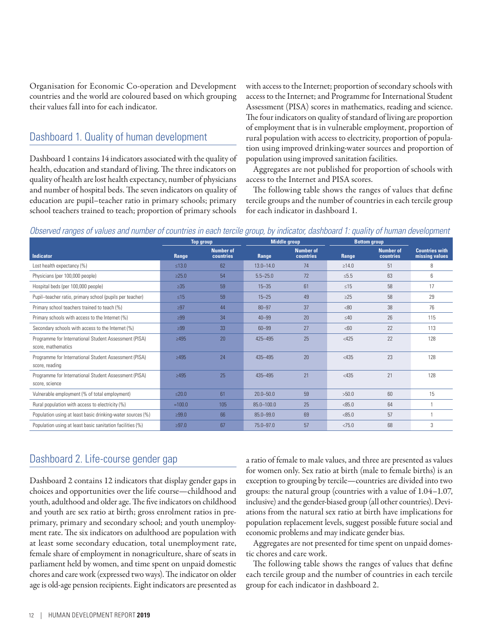Organisation for Economic Co-operation and Development countries and the world are coloured based on which grouping their values fall into for each indicator.

### Dashboard 1. Quality of human development

Dashboard 1 contains 14 indicators associated with the quality of health, education and standard of living. The three indicators on quality of health are lost health expectancy, number of physicians and number of hospital beds. The seven indicators on quality of education are pupil–teacher ratio in primary schools; primary school teachers trained to teach; proportion of primary schools

with access to the Internet; proportion of secondary schools with access to the Internet; and Programme for International Student Assessment (PISA) scores in mathematics, reading and science. The four indicators on quality of standard of living are proportion of employment that is in vulnerable employment, proportion of rural population with access to electricity, proportion of population using improved drinking-water sources and proportion of population using improved sanitation facilities.

Aggregates are not published for proportion of schools with access to the Internet and PISA scores.

The following table shows the ranges of values that define tercile groups and the number of countries in each tercile group for each indicator in dashboard 1.

#### *Observed ranges of values and number of countries in each tercile group, by indicator, dashboard 1: quality of human development*

|                                                                             | <b>Top group</b> |                               | <b>Middle group</b> |                               | <b>Bottom group</b> |                               |                                         |
|-----------------------------------------------------------------------------|------------------|-------------------------------|---------------------|-------------------------------|---------------------|-------------------------------|-----------------------------------------|
| <b>Indicator</b>                                                            | Range            | <b>Number of</b><br>countries | Range               | <b>Number of</b><br>countries | Range               | <b>Number of</b><br>countries | <b>Countries with</b><br>missing values |
| Lost health expectancy (%)                                                  | $≤13.0$          | 62                            | $13.0 - 14.0$       | 74                            | $\geq 14.0$         | 51                            | 8                                       |
| Physicians (per 100,000 people)                                             | $\geq$ 25.0      | 54                            | $5.5 - 25.0$        | 72                            | $\leq 5.5$          | 63                            | 6                                       |
| Hospital beds (per 100,000 people)                                          | $\geq 35$        | 59                            | $15 - 35$           | 61                            | $\leq 15$           | 58                            | 17                                      |
| Pupil-teacher ratio, primary school (pupils per teacher)                    | $\leq 15$        | 59                            | $15 - 25$           | 49                            | $\geq$ 25           | 58                            | 29                                      |
| Primary school teachers trained to teach (%)                                | $\geq$ 97        | 44                            | $80 - 97$           | 37                            | <80                 | 38                            | 76                                      |
| Primary schools with access to the Internet (%)                             | $\geq$ 99        | 34                            | $40 - 99$           | 20                            | $\leq 40$           | 26                            | 115                                     |
| Secondary schools with access to the Internet (%)                           | $\geq$ 99        | 33                            | $60 - 99$           | 27                            | <60                 | 22                            | 113                                     |
| Programme for International Student Assessment (PISA)<br>score, mathematics | $\geq 495$       | 20                            | 425-495             | 25                            | $<$ 425             | 22                            | 128                                     |
| Programme for International Student Assessment (PISA)<br>score, reading     | >495             | 24                            | 435-495             | 20                            | $<$ 435             | 23                            | 128                                     |
| Programme for International Student Assessment (PISA)<br>score, science     | >495             | 25                            | 435-495             | 21                            | < 435               | 21                            | 128                                     |
| Vulnerable employment (% of total employment)                               | $≤20.0$          | 61                            | $20.0 - 50.0$       | 59                            | >50.0               | 60                            | 15                                      |
| Rural population with access to electricity (%)                             | $=100.0$         | 105                           | $85.0 - 100.0$      | 25                            | < 85.0              | 64                            |                                         |
| Population using at least basic drinking-water sources (%)                  | >99.0            | 66                            | $85.0 - 99.0$       | 69                            | < 85.0              | 57                            |                                         |
| Population using at least basic sanitation facilities (%)                   | $\geq 97.0$      | 67                            | 75.0-97.0           | 57                            | < 75.0              | 68                            | 3                                       |

### Dashboard 2. Life-course gender gap

Dashboard 2 contains 12 indicators that display gender gaps in choices and opportunities over the life course—childhood and youth, adulthood and older age. The five indicators on childhood and youth are sex ratio at birth; gross enrolment ratios in preprimary, primary and secondary school; and youth unemployment rate. The six indicators on adulthood are population with at least some secondary education, total unemployment rate, female share of employment in nonagriculture, share of seats in parliament held by women, and time spent on unpaid domestic chores and care work (expressed two ways). The indicator on older age is old-age pension recipients. Eight indicators are presented as a ratio of female to male values, and three are presented as values for women only. Sex ratio at birth (male to female births) is an exception to grouping by tercile—countries are divided into two groups: the natural group (countries with a value of 1.04–1.07, inclusive) and the gender-biased group (all other countries). Deviations from the natural sex ratio at birth have implications for population replacement levels, suggest possible future social and economic problems and may indicate gender bias.

Aggregates are not presented for time spent on unpaid domestic chores and care work.

The following table shows the ranges of values that define each tercile group and the number of countries in each tercile group for each indicator in dashboard 2.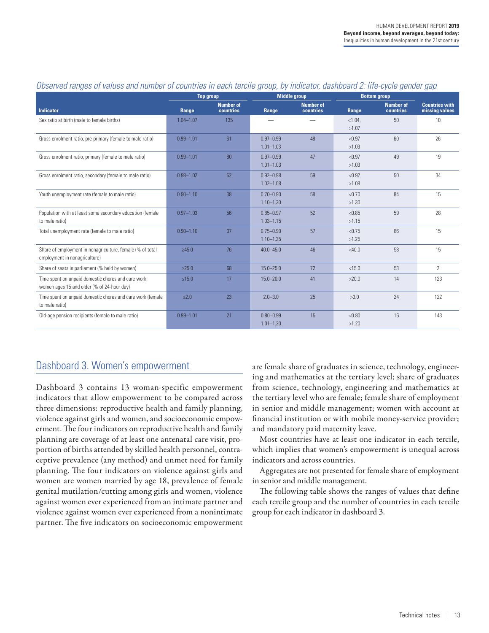|                                                                                                   | <b>Top group</b> |                               | <b>Middle group</b>            |                               | <b>Bottom group</b> |                               |                                         |
|---------------------------------------------------------------------------------------------------|------------------|-------------------------------|--------------------------------|-------------------------------|---------------------|-------------------------------|-----------------------------------------|
| <b>Indicator</b>                                                                                  | Range            | <b>Number of</b><br>countries | Range                          | <b>Number of</b><br>countries | Range               | <b>Number of</b><br>countries | <b>Countries with</b><br>missing values |
| Sex ratio at birth (male to female births)                                                        | $1.04 - 1.07$    | 135                           |                                |                               | $< 1.04$ ,<br>>1.07 | 50                            | 10                                      |
| Gross enrolment ratio, pre-primary (female to male ratio)                                         | $0.99 - 1.01$    | 61                            | $0.97 - 0.99$<br>$1.01 - 1.03$ | 48                            | < 0.97<br>>1.03     | 60                            | 26                                      |
| Gross enrolment ratio, primary (female to male ratio)                                             | $0.99 - 1.01$    | 80                            | $0.97 - 0.99$<br>$1.01 - 1.03$ | 47                            | < 0.97<br>>1.03     | 49                            | 19                                      |
| Gross enrolment ratio, secondary (female to male ratio)                                           | $0.98 - 1.02$    | 52                            | $0.92 - 0.98$<br>$1.02 - 1.08$ | 59                            | < 0.92<br>>1.08     | 50                            | 34                                      |
| Youth unemployment rate (female to male ratio)                                                    | $0.90 - 1.10$    | 38                            | $0.70 - 0.90$<br>$1.10 - 1.30$ | 58                            | < 0.70<br>>1.30     | 84                            | 15                                      |
| Population with at least some secondary education (female<br>to male ratio)                       | $0.97 - 1.03$    | 56                            | $0.85 - 0.97$<br>$1.03 - 1.15$ | 52                            | < 0.85<br>>1.15     | 59                            | 28                                      |
| Total unemployment rate (female to male ratio)                                                    | $0.90 - 1.10$    | 37                            | $0.75 - 0.90$<br>$1.10 - 1.25$ | 57                            | < 0.75<br>>1.25     | 86                            | 15                                      |
| Share of employment in nonagriculture, female (% of total<br>employment in nonagriculture)        | >45.0            | 76                            | $40.0 - 45.0$                  | 46                            | $<$ 40.0            | 58                            | 15                                      |
| Share of seats in parliament (% held by women)                                                    | $\geq 25.0$      | 68                            | $15.0 - 25.0$                  | 72                            | < 15.0              | 53                            | $\overline{2}$                          |
| Time spent on unpaid domestic chores and care work,<br>women ages 15 and older (% of 24-hour day) | $≤15.0$          | 17                            | $15.0 - 20.0$                  | 41                            | >20.0               | 14                            | 123                                     |
| Time spent on unpaid domestic chores and care work (female<br>to male ratio)                      | $\leq 2.0$       | 23                            | $2.0 - 3.0$                    | 25                            | >3.0                | 24                            | 122                                     |
| Old-age pension recipients (female to male ratio)                                                 | $0.99 - 1.01$    | 21                            | $0.80 - 0.99$<br>$1.01 - 1.20$ | 15                            | < 0.80<br>>1.20     | 16                            | 143                                     |

### *Observed ranges of values and number of countries in each tercile group, by indicator, dashboard 2: life-cycle gender gap*

### Dashboard 3. Women's empowerment

Dashboard 3 contains 13 woman-specific empowerment indicators that allow empowerment to be compared across three dimensions: reproductive health and family planning, violence against girls and women, and socioeconomic empowerment. The four indicators on reproductive health and family planning are coverage of at least one antenatal care visit, proportion of births attended by skilled health personnel, contraceptive prevalence (any method) and unmet need for family planning. The four indicators on violence against girls and women are women married by age 18, prevalence of female genital mutilation/cutting among girls and women, violence against women ever experienced from an intimate partner and violence against women ever experienced from a nonintimate partner. The five indicators on socioeconomic empowerment

are female share of graduates in science, technology, engineering and mathematics at the tertiary level; share of graduates from science, technology, engineering and mathematics at the tertiary level who are female; female share of employment in senior and middle management; women with account at financial institution or with mobile money-service provider; and mandatory paid maternity leave.

Most countries have at least one indicator in each tercile, which implies that women's empowerment is unequal across indicators and across countries.

Aggregates are not presented for female share of employment in senior and middle management.

The following table shows the ranges of values that define each tercile group and the number of countries in each tercile group for each indicator in dashboard 3.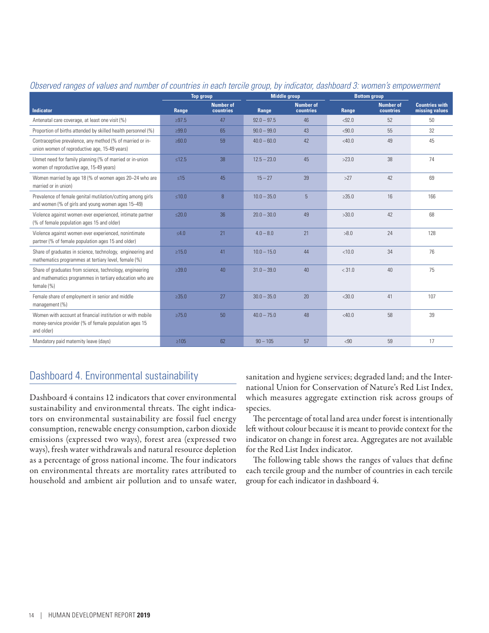|                                                                                                                                       | <b>Top group</b> |                               | <b>Middle group</b> |                               | <b>Bottom group</b> |                               |                                         |
|---------------------------------------------------------------------------------------------------------------------------------------|------------------|-------------------------------|---------------------|-------------------------------|---------------------|-------------------------------|-----------------------------------------|
| <b>Indicator</b>                                                                                                                      | Range            | <b>Number of</b><br>countries | Range               | <b>Number of</b><br>countries | Range               | <b>Number of</b><br>countries | <b>Countries with</b><br>missing values |
| Antenatal care coverage, at least one visit (%)                                                                                       | $\geq 97.5$      | 47                            | $92.0 - 97.5$       | 46                            | < 92.0              | 52                            | 50                                      |
| Proportion of births attended by skilled health personnel (%)                                                                         | >99.0            | 65                            | $90.0 - 99.0$       | 43                            | < 90.0              | 55                            | 32                                      |
| Contraceptive prevalence, any method (% of married or in-<br>union women of reproductive age, 15-49 years)                            | $\geq 60.0$      | 59                            | $40.0 - 60.0$       | 42                            | $<$ 40.0            | 49                            | 45                                      |
| Unmet need for family planning (% of married or in-union<br>women of reproductive age, 15-49 years)                                   | $\leq 12.5$      | 38                            | $12.5 - 23.0$       | 45                            | >23.0               | 38                            | 74                                      |
| Women married by age 18 (% of women ages 20-24 who are<br>married or in union)                                                        | $\leq 15$        | 45                            | $15 - 27$           | 39                            | >27                 | 42                            | 69                                      |
| Prevalence of female genital mutilation/cutting among girls<br>and women (% of girls and young women ages 15-49)                      | $≤10.0$          | $\overline{8}$                | $10.0 - 35.0$       | 5 <sup>5</sup>                | >35.0               | 16                            | 166                                     |
| Violence against women ever experienced, intimate partner<br>(% of female population ages 15 and older)                               | $\leq 20.0$      | 36 <sup>°</sup>               | $20.0 - 30.0$       | 49                            | >30.0               | 42                            | 68                                      |
| Violence against women ever experienced, nonintimate<br>partner (% of female population ages 15 and older)                            | $\leq 4.0$       | 21                            | $4.0 - 8.0$         | 21                            | >8.0                | 24                            | 128                                     |
| Share of graduates in science, technology, engineering and<br>mathematics programmes at tertiary level, female (%)                    | $\ge 15.0$       | 41                            | $10.0 - 15.0$       | 44                            | < 10.0              | 34                            | 76                                      |
| Share of graduates from science, technology, engineering<br>and mathematics programmes in tertiary education who are<br>female $(\%)$ | >39.0            | 40 <sup>°</sup>               | $31.0 - 39.0$       | 40                            | < 31.0              | 40                            | 75                                      |
| Female share of employment in senior and middle<br>management (%)                                                                     | $\geq 35.0$      | 27                            | $30.0 - 35.0$       | 20                            | $<$ 30.0            | 41                            | 107                                     |
| Women with account at financial institution or with mobile<br>money-service provider (% of female population ages 15<br>and older)    | $\geq 75.0$      | 50 <sup>°</sup>               | $40.0 - 75.0$       | 48                            | $<$ 40.0            | 58                            | 39                                      |
| Mandatory paid maternity leave (days)                                                                                                 | $\geq 105$       | 62                            | $90 - 105$          | 57                            | < 90                | 59                            | 17                                      |

#### *Observed ranges of values and number of countries in each tercile group, by indicator, dashboard 3: women's empowerment*

# Dashboard 4. Environmental sustainability

Dashboard 4 contains 12 indicators that cover environmental sustainability and environmental threats. The eight indicators on environmental sustainability are fossil fuel energy consumption, renewable energy consumption, carbon dioxide emissions (expressed two ways), forest area (expressed two ways), fresh water withdrawals and natural resource depletion as a percentage of gross national income. The four indicators on environmental threats are mortality rates attributed to household and ambient air pollution and to unsafe water,

sanitation and hygiene services; degraded land; and the International Union for Conservation of Nature's Red List Index, which measures aggregate extinction risk across groups of species.

The percentage of total land area under forest is intentionally left without colour because it is meant to provide context for the indicator on change in forest area. Aggregates are not available for the Red List Index indicator.

The following table shows the ranges of values that define each tercile group and the number of countries in each tercile group for each indicator in dashboard 4.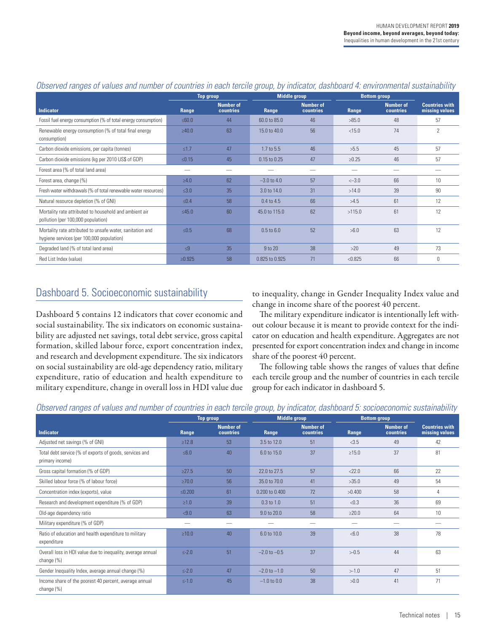|                                                                                                        | <b>Top group</b> |                                      |                | <b>Middle group</b>           |            | <b>Bottom group</b>                  |                                         |
|--------------------------------------------------------------------------------------------------------|------------------|--------------------------------------|----------------|-------------------------------|------------|--------------------------------------|-----------------------------------------|
| <b>Indicator</b>                                                                                       | Range            | <b>Number of</b><br><b>countries</b> | Range          | <b>Number of</b><br>countries | Range      | <b>Number of</b><br><b>countries</b> | <b>Countries with</b><br>missing values |
| Fossil fuel energy consumption (% of total energy consumption)                                         | $≤60.0$          | 44                                   | 60.0 to 85.0   | 46                            | >85.0      | 48                                   | 57                                      |
| Renewable energy consumption (% of total final energy<br>consumption)                                  | >40.0            | 63                                   | 15.0 to 40.0   | 56                            | < 15.0     | 74                                   | $\mathfrak{p}$                          |
| Carbon dioxide emissions, per capita (tonnes)                                                          | $\leq 1.7$       | 47                                   | 1.7 to 5.5     | 46                            | >5.5       | 45                                   | 57                                      |
| Carbon dioxide emissions (kg per 2010 US\$ of GDP)                                                     | $≤0.15$          | 45                                   | 0.15 to 0.25   | 47                            | $\geq0.25$ | 46                                   | 57                                      |
| Forest area (% of total land area)                                                                     |                  |                                      |                |                               |            |                                      |                                         |
| Forest area, change (%)                                                                                | $\geq 4.0$       | 62                                   | $-3.0$ to 4.0  | 57                            | $<-3.0$    | 66                                   | 10                                      |
| Fresh water withdrawals (% of total renewable water resources)                                         | $\leq 3.0$       | 35                                   | 3.0 to 14.0    | 31                            | >14.0      | 39                                   | 90                                      |
| Natural resource depletion (% of GNI)                                                                  | $\leq 0.4$       | 58                                   | 0.4 to 4.5     | 66                            | >4.5       | 61                                   | 12                                      |
| Mortality rate attributed to household and ambient air<br>pollution (per 100,000 population)           | $\leq 45.0$      | 60                                   | 45.0 to 115.0  | 62                            | >115.0     | 61                                   | 12                                      |
| Mortality rate attributed to unsafe water, sanitation and<br>hygiene services (per 100,000 population) | $\leq 0.5$       | 68                                   | $0.5$ to $6.0$ | 52                            | >6.0       | 63                                   | 12                                      |
| Degraded land (% of total land area)                                                                   | $\leq 9$         | 35                                   | 9 to 20        | 38                            | >20        | 49                                   | 73                                      |
| Red List Index (value)                                                                                 | $\ge 0.925$      | 58                                   | 0.825 to 0.925 | 71                            | < 0.825    | 66                                   | 0                                       |

### *Observed ranges of values and number of countries in each tercile group, by indicator, dashboard 4: environmental sustainability*

# Dashboard 5. Socioeconomic sustainability

Dashboard 5 contains 12 indicators that cover economic and social sustainability. The six indicators on economic sustainability are adjusted net savings, total debt service, gross capital formation, skilled labour force, export concentration index, and research and development expenditure. The six indicators on social sustainability are old-age dependency ratio, military expenditure, ratio of education and health expenditure to military expenditure, change in overall loss in HDI value due

to inequality, change in Gender Inequality Index value and change in income share of the poorest 40 percent.

The military expenditure indicator is intentionally left without colour because it is meant to provide context for the indicator on education and health expenditure. Aggregates are not presented for export concentration index and change in income share of the poorest 40 percent.

The following table shows the ranges of values that define each tercile group and the number of countries in each tercile group for each indicator in dashboard 5.

|  |  |  |  |  | Observed ranges of values and number of countries in each tercile group, by indicator, dashboard 5: socioeconomic sustainability |  |
|--|--|--|--|--|----------------------------------------------------------------------------------------------------------------------------------|--|
|  |  |  |  |  |                                                                                                                                  |  |

|                                                                            |             | <b>Top group</b>              | <b>Middle group</b> |                               | <b>Bottom group</b> |                               |                                         |
|----------------------------------------------------------------------------|-------------|-------------------------------|---------------------|-------------------------------|---------------------|-------------------------------|-----------------------------------------|
| <b>Indicator</b>                                                           | Range       | <b>Number of</b><br>countries | Range               | <b>Number of</b><br>countries | Range               | <b>Number of</b><br>countries | <b>Countries with</b><br>missing values |
| Adjusted net savings (% of GNI)                                            | $\geq 12.8$ | 53                            | 3.5 to 12.0         | 51                            | <3.5                | 49                            | 42                                      |
| Total debt service (% of exports of goods, services and<br>primary income) | $≤6.0$      | 40                            | 6.0 to 15.0         | 37                            | >15.0               | 37                            | 81                                      |
| Gross capital formation (% of GDP)                                         | $\geq 27.5$ | 50                            | 22.0 to 27.5        | 57                            | < 22.0              | 66                            | 22                                      |
| Skilled labour force (% of labour force)                                   | $\geq 70.0$ | 56                            | 35.0 to 70.0        | 41                            | >35.0               | 49                            | 54                                      |
| Concentration index (exports), value                                       | ≤ $0.200$   | 61                            | 0.200 to 0.400      | 72                            | >0.400              | 58                            | 4                                       |
| Research and development expenditure (% of GDP)                            | $\geq 1.0$  | 39                            | $0.3$ to $1.0$      | 51                            | < 0.3               | 36                            | 69                                      |
| Old-age dependency ratio                                                   | < 9.0       | 63                            | 9.0 to 20.0         | 58                            | $\geq$ 20.0         | 64                            | 10                                      |
| Military expenditure (% of GDP)                                            |             |                               |                     |                               |                     |                               |                                         |
| Ratio of education and health expenditure to military<br>expenditure       | $\geq 10.0$ | 40                            | 6.0 to 10.0         | 39                            | < 6.0               | 38                            | 78                                      |
| Overall loss in HDI value due to inequality, average annual<br>change (%)  | $\leq$ -2.0 | 51                            | $-2.0$ to $-0.5$    | 37                            | >0.5                | 44                            | 63                                      |
| Gender Inequality Index, average annual change (%)                         | $\leq -2.0$ | 47                            | $-2.0$ to $-1.0$    | 50                            | >1.0                | 47                            | 51                                      |
| Income share of the poorest 40 percent, average annual<br>change (%)       | $\leq -1.0$ | 45                            | $-1.0$ to 0.0       | 38                            | >0.0                | 41                            | 71                                      |